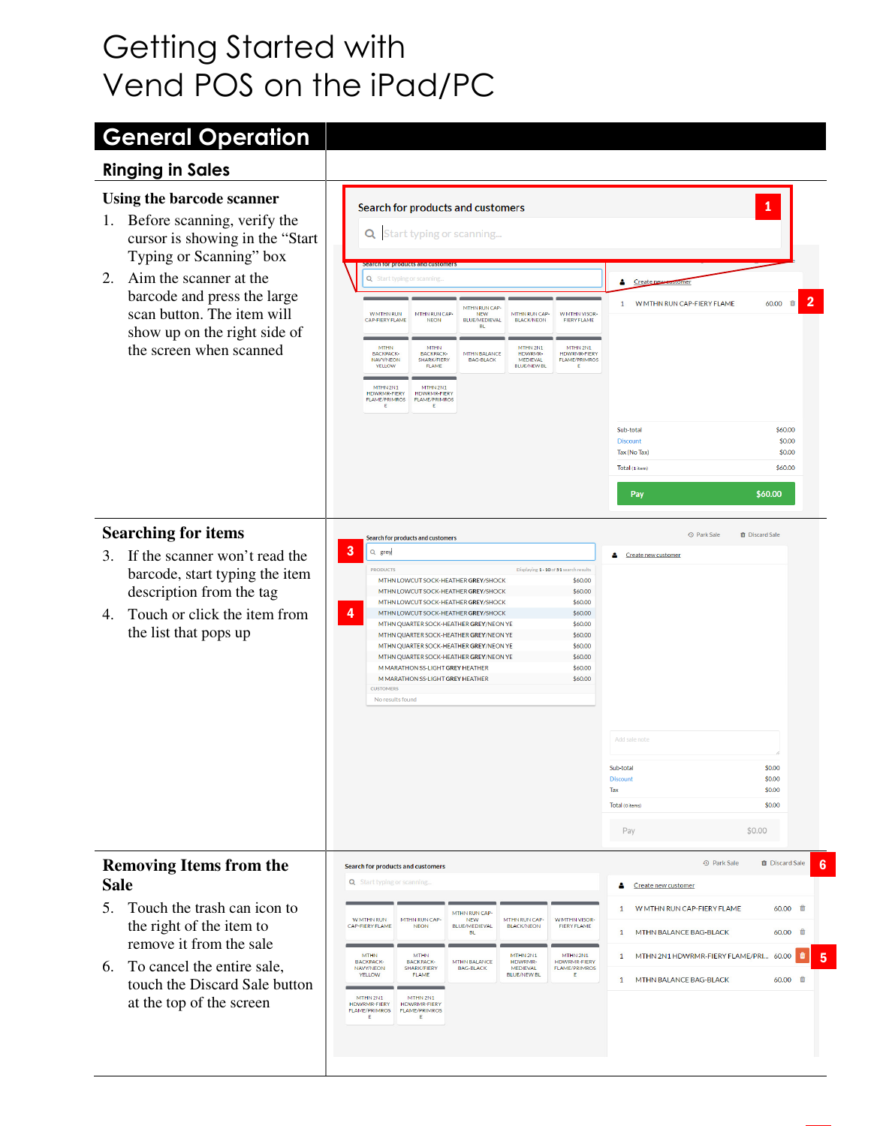# Getting Started with Vend POS on the iPad/PC

# General Operation

### Ringing in Sales

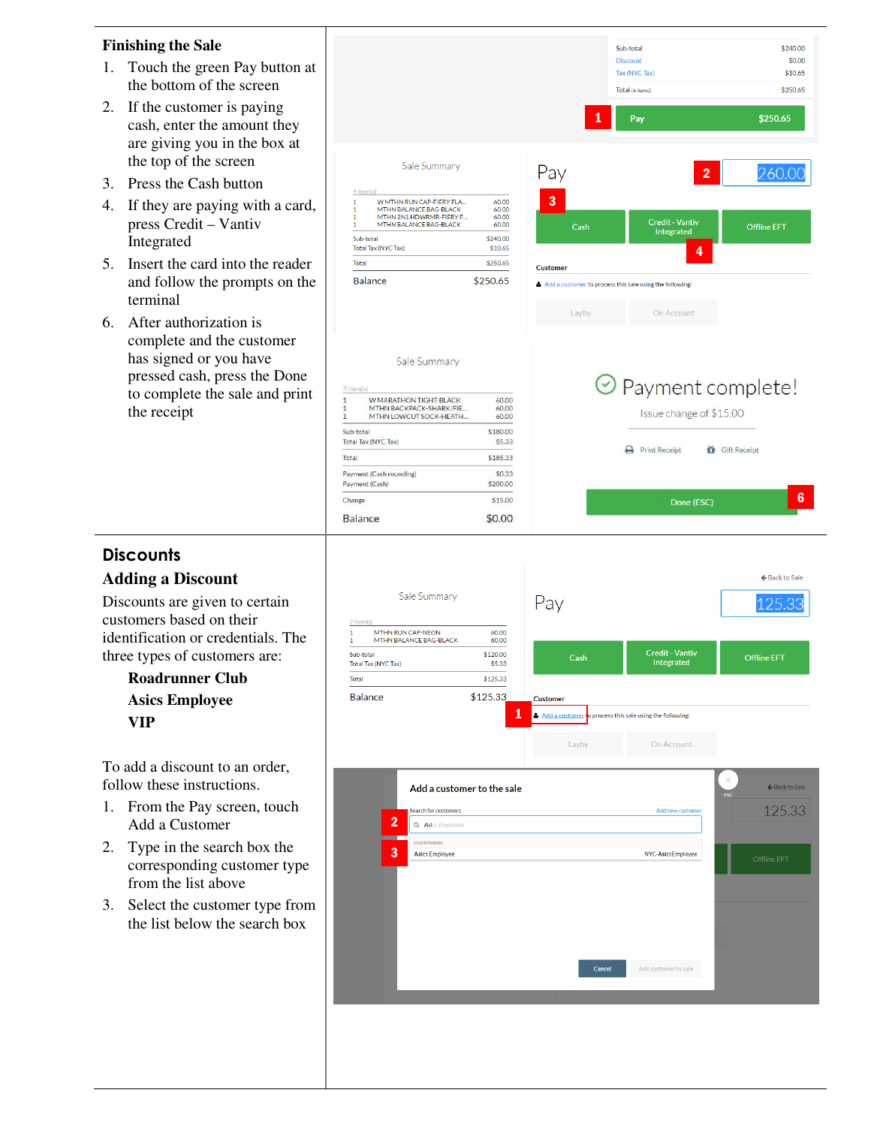#### **Finishing the Sale**

- 1. Touch the green Pay button at the bottom of the screen
- 2. If the customer is paying cash, enter the amount they are giving you in the box at the top of the screen
- 3. Press the Cash button
- 4. If they are paying with a card, press Credit – Vantiv Integrated
- 5. Insert the card into the reader and follow the prompts on the terminal
- 6. After authorization is complete and the customer has signed or you have pressed cash, press the Done to complete the sale and print the receipt

Balance

|                                                                                                                    | 1                                           | Sub-total<br><b>Discount</b><br>Tax (NYC Tax)<br>Total (4 items)<br>Pay | \$240.00<br>\$0.00<br>\$10.65<br>\$250.65<br>\$250.65 |
|--------------------------------------------------------------------------------------------------------------------|---------------------------------------------|-------------------------------------------------------------------------|-------------------------------------------------------|
| Sale Summary<br>4 item(s)<br>$\mathbf{1}$<br>W MTHN RUN CAP-FIERY FLA                                              | Pay<br>3<br>60.00                           | $\overline{2}$                                                          | 260.00                                                |
| $\mathbf{1}$<br>MTHN BALANCE BAG-BLACK<br>1<br>MTHN 2N1 HDWRMR-FIERY F<br>MTHN BALANCE BAG-BLACK<br>1<br>Sub-total | 60.00<br>60.00<br>60.00<br>Cash<br>\$240.00 | <b>Credit - Vantiv</b><br>Integrated                                    | <b>Offline EFT</b>                                    |
| Total Tax (NYC Tax)<br>Total                                                                                       | \$10.65<br>\$250.65<br>Customer             | 4                                                                       |                                                       |
| \$250.65<br><b>Balance</b>                                                                                         | Layby                                       | Add a customer to process this sale using the following:<br>On Account  |                                                       |
| Sale Summary<br>3 item(s)<br>W MARATHON TIGHT-BLACK<br>$\mathbf{1}$                                                | 60.00                                       | O Payment complete!                                                     |                                                       |
| MTHN BACKPACK-SHARK/FIE<br>1<br>MTHN LOWCUT SOCK-HEATH<br>1                                                        | 60.00<br>60.00                              | Issue change of \$15.00                                                 |                                                       |
| Sub-total<br>Total Tax (NYC Tax)                                                                                   | \$180.00<br>\$5.33                          | Print Receipt<br>Gift Receipt                                           |                                                       |
| Total                                                                                                              | \$185.33                                    |                                                                         |                                                       |
| Payment (Cash rounding)<br>Payment (Cash)                                                                          | \$0.33<br>\$200.00                          |                                                                         |                                                       |
| Change                                                                                                             | \$15.00                                     | Done (ESC)                                                              | 6                                                     |

## **Discounts**

#### **Adding a Discount**

Discounts are given to certain customers based on their identification or credentials. The three types of customers are:

> **Roadrunner Club Asics Employee VIP**

To add a discount to an order, follow these instructions.

- 1. From the Pay screen, touch Add a Customer
- 2. Type in the search box the corresponding customer type from the list above
- 3. Select the customer type from the list below the search box



 $$0.00$